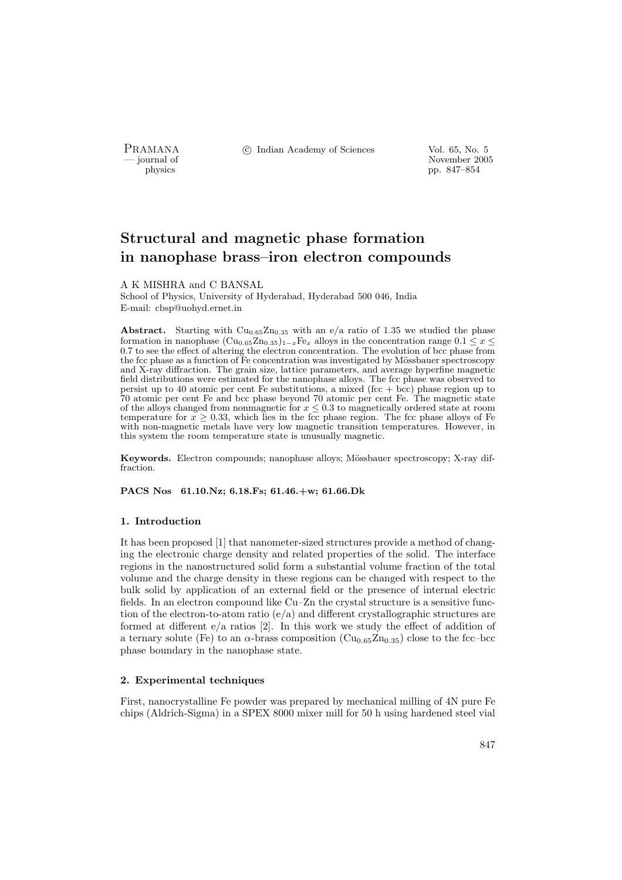PRAMANA <sup>C</sup> Indian Academy of Sciences Vol. 65, No. 5<br>
— journal of

physics<br>
and the state of the state of the November 2005<br>
pp. 847–854 physics pp. 847–854

# Structural and magnetic phase formation in nanophase brass–iron electron compounds

A K MISHRA and C BANSAL

School of Physics, University of Hyderabad, Hyderabad 500 046, India E-mail: cbsp@uohyd.ernet.in

Abstract. Starting with  $Cu_{0.65}Zn_{0.35}$  with an e/a ratio of 1.35 we studied the phase formation in nanophase  $(Cu_{0.65}Zn_{0.35})_{1-x}Fe_x$  alloys in the concentration range  $0.1 \leq x \leq$ 0.7 to see the effect of altering the electron concentration. The evolution of bcc phase from the fcc phase as a function of Fe concentration was investigated by Mössbauer spectroscopy and X-ray diffraction. The grain size, lattice parameters, and average hyperfine magnetic field distributions were estimated for the nanophase alloys. The fcc phase was observed to persist up to 40 atomic per cent Fe substitutions, a mixed (fcc  $+$  bcc) phase region up to 70 atomic per cent Fe and bcc phase beyond 70 atomic per cent Fe. The magnetic state of the alloys changed from nonmagnetic for  $x \leq 0.3$  to magnetically ordered state at room temperature for  $x \geq 0.33$ , which lies in the fcc phase region. The fcc phase alloys of Fe with non-magnetic metals have very low magnetic transition temperatures. However, in this system the room temperature state is unusually magnetic.

Keywords. Electron compounds; nanophase alloys; Mössbauer spectroscopy; X-ray diffraction.

PACS Nos 61.10.Nz; 6.18.Fs; 61.46.+w; 61.66.Dk

## 1. Introduction

It has been proposed [1] that nanometer-sized structures provide a method of changing the electronic charge density and related properties of the solid. The interface regions in the nanostructured solid form a substantial volume fraction of the total volume and the charge density in these regions can be changed with respect to the bulk solid by application of an external field or the presence of internal electric fields. In an electron compound like Cu–Zn the crystal structure is a sensitive function of the electron-to-atom ratio  $(e/a)$  and different crystallographic structures are formed at different e/a ratios [2]. In this work we study the effect of addition of a ternary solute (Fe) to an  $\alpha$ -brass composition (Cu<sub>0.65</sub>Zn<sub>0.35</sub>) close to the fcc–bcc</sub> phase boundary in the nanophase state.

## 2. Experimental techniques

First, nanocrystalline Fe powder was prepared by mechanical milling of 4N pure Fe chips (Aldrich-Sigma) in a SPEX 8000 mixer mill for 50 h using hardened steel vial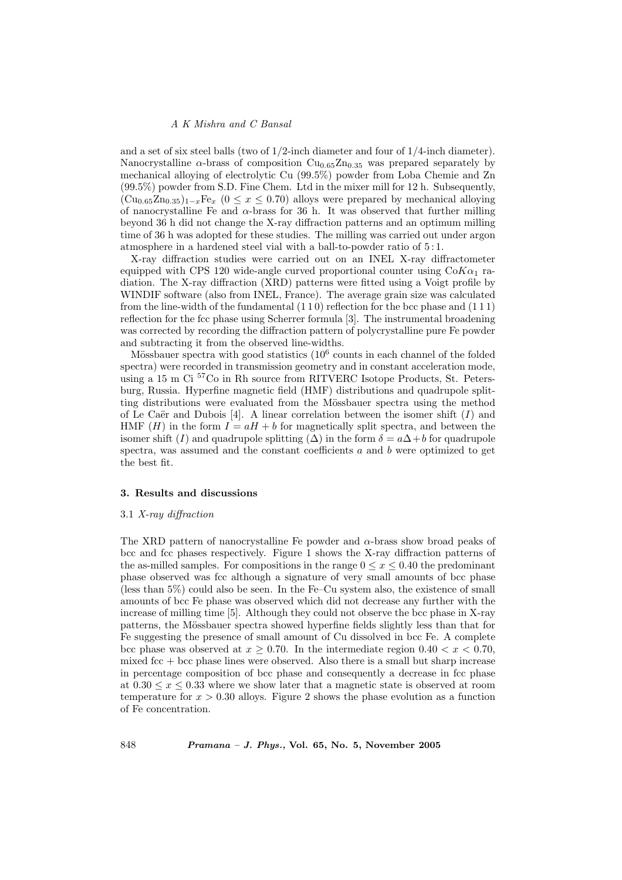and a set of six steel balls (two of  $1/2$ -inch diameter and four of  $1/4$ -inch diameter). Nanocrystalline  $\alpha$ -brass of composition Cu<sub>0.65</sub>Zn<sub>0.35</sub> was prepared separately by mechanical alloying of electrolytic Cu (99.5%) powder from Loba Chemie and Zn (99.5%) powder from S.D. Fine Chem. Ltd in the mixer mill for 12 h. Subsequently,  $(Cu_{0.65}Zn_{0.35})_{1-x}Fe_x$  (0 ≤ x ≤ 0.70) alloys were prepared by mechanical alloying of nanocrystalline Fe and  $\alpha$ -brass for 36 h. It was observed that further milling beyond 36 h did not change the X-ray diffraction patterns and an optimum milling time of 36 h was adopted for these studies. The milling was carried out under argon atmosphere in a hardened steel vial with a ball-to-powder ratio of 5 : 1.

X-ray diffraction studies were carried out on an INEL X-ray diffractometer equipped with CPS 120 wide-angle curved proportional counter using  $C_0K_{\alpha_1}$  radiation. The X-ray diffraction (XRD) patterns were fitted using a Voigt profile by WINDIF software (also from INEL, France). The average grain size was calculated from the line-width of the fundamental (1 1 0) reflection for the bcc phase and (1 1 1) reflection for the fcc phase using Scherrer formula [3]. The instrumental broadening was corrected by recording the diffraction pattern of polycrystalline pure Fe powder and subtracting it from the observed line-widths.

Mössbauer spectra with good statistics  $(10^6 \text{ counts in each channel of the folded})$ spectra) were recorded in transmission geometry and in constant acceleration mode, using a 15 m Ci <sup>57</sup>Co in Rh source from RITVERC Isotope Products, St. Petersburg, Russia. Hyperfine magnetic field (HMF) distributions and quadrupole splitting distributions were evaluated from the Mössbauer spectra using the method of Le Caër and Dubois [4]. A linear correlation between the isomer shift  $(I)$  and HMF (*H*) in the form  $I = aH + b$  for magnetically split spectra, and between the isomer shift (I) and quadrupole splitting ( $\Delta$ ) in the form  $\delta = a\Delta + b$  for quadrupole spectra, was assumed and the constant coefficients  $a$  and  $b$  were optimized to get the best fit.

## 3. Results and discussions

#### 3.1 X-ray diffraction

The XRD pattern of nanocrystalline Fe powder and  $\alpha$ -brass show broad peaks of bcc and fcc phases respectively. Figure 1 shows the X-ray diffraction patterns of the as-milled samples. For compositions in the range  $0 \le x \le 0.40$  the predominant phase observed was fcc although a signature of very small amounts of bcc phase (less than 5%) could also be seen. In the Fe–Cu system also, the existence of small amounts of bcc Fe phase was observed which did not decrease any further with the increase of milling time [5]. Although they could not observe the bcc phase in X-ray patterns, the Mössbauer spectra showed hyperfine fields slightly less than that for Fe suggesting the presence of small amount of Cu dissolved in bcc Fe. A complete bcc phase was observed at  $x \geq 0.70$ . In the intermediate region  $0.40 < x < 0.70$ , mixed  $\text{fcc} + \text{bcc}$  phase lines were observed. Also there is a small but sharp increase in percentage composition of bcc phase and consequently a decrease in fcc phase at  $0.30 \leq x \leq 0.33$  where we show later that a magnetic state is observed at room temperature for  $x > 0.30$  alloys. Figure 2 shows the phase evolution as a function of Fe concentration.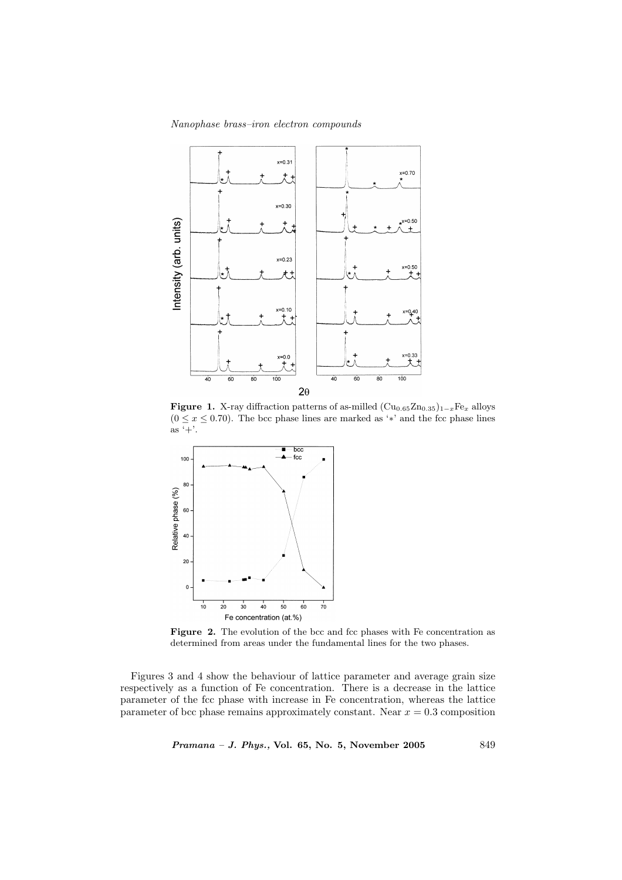## Nanophase brass–iron electron compounds



Figure 1. X-ray diffraction patterns of as-milled  $(\text{Cu}_{0.65}\text{Zn}_{0.35})_{1-x}\text{Fe}_{x}$  alloys  $(0 \le x \le 0.70)$ . The bcc phase lines are marked as '\*' and the fcc phase lines  $\overline{a}$  as  $\overline{+}$ .



Figure 2. The evolution of the bcc and fcc phases with Fe concentration as determined from areas under the fundamental lines for the two phases.

Figures 3 and 4 show the behaviour of lattice parameter and average grain size respectively as a function of Fe concentration. There is a decrease in the lattice parameter of the fcc phase with increase in Fe concentration, whereas the lattice parameter of bcc phase remains approximately constant. Near  $x = 0.3$  composition

Pramana - J. Phys., Vol. 65, No. 5, November 2005 849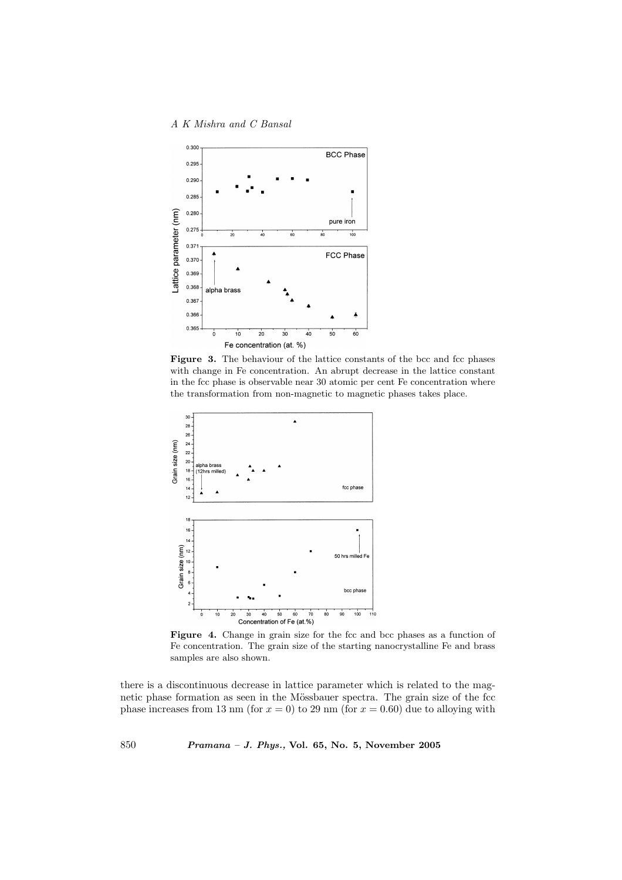

Figure 3. The behaviour of the lattice constants of the bcc and fcc phases with change in Fe concentration. An abrupt decrease in the lattice constant in the fcc phase is observable near 30 atomic per cent Fe concentration where the transformation from non-magnetic to magnetic phases takes place.



Figure 4. Change in grain size for the fcc and bcc phases as a function of Fe concentration. The grain size of the starting nanocrystalline Fe and brass samples are also shown.

there is a discontinuous decrease in lattice parameter which is related to the magnetic phase formation as seen in the Mössbauer spectra. The grain size of the fcc phase increases from 13 nm (for  $x = 0$ ) to 29 nm (for  $x = 0.60$ ) due to alloying with

850 Pramana – J. Phys., Vol. 65, No. 5, November 2005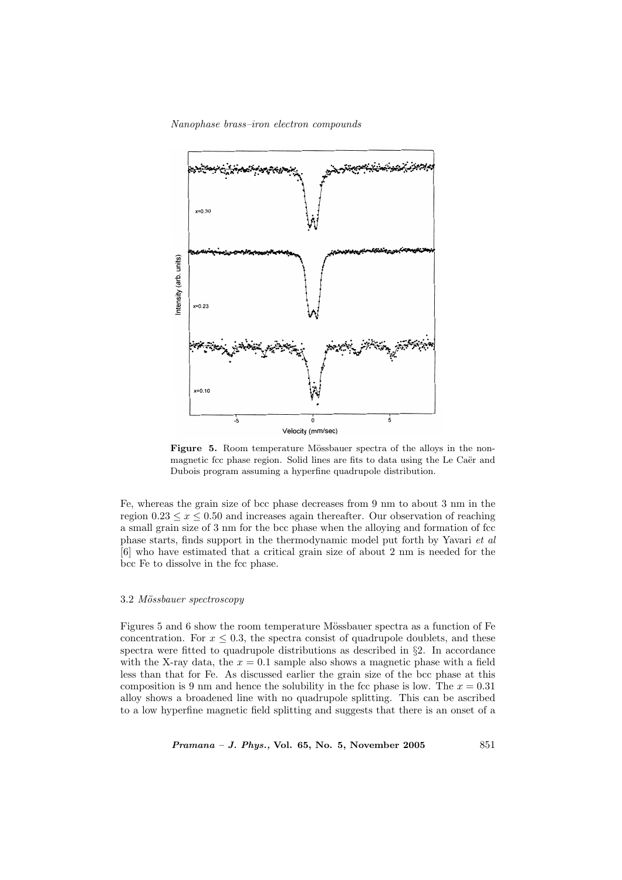#### Nanophase brass–iron electron compounds



Figure 5. Room temperature Mössbauer spectra of the alloys in the nonmagnetic fcc phase region. Solid lines are fits to data using the Le Caër and Dubois program assuming a hyperfine quadrupole distribution.

Fe, whereas the grain size of bcc phase decreases from 9 nm to about 3 nm in the region  $0.23 \leq x \leq 0.50$  and increases again thereafter. Our observation of reaching a small grain size of 3 nm for the bcc phase when the alloying and formation of fcc phase starts, finds support in the thermodynamic model put forth by Yavari et al [6] who have estimated that a critical grain size of about 2 nm is needed for the bcc Fe to dissolve in the fcc phase.

## 3.2 Mössbauer spectroscopy

Figures 5 and 6 show the room temperature Mössbauer spectra as a function of Fe concentration. For  $x \leq 0.3$ , the spectra consist of quadrupole doublets, and these spectra were fitted to quadrupole distributions as described in  $\S$ 2. In accordance with the X-ray data, the  $x = 0.1$  sample also shows a magnetic phase with a field less than that for Fe. As discussed earlier the grain size of the bcc phase at this composition is 9 nm and hence the solubility in the fcc phase is low. The  $x = 0.31$ alloy shows a broadened line with no quadrupole splitting. This can be ascribed to a low hyperfine magnetic field splitting and suggests that there is an onset of a

 $Pramana - J. Phys., Vol. 65, No. 5, November 2005$  851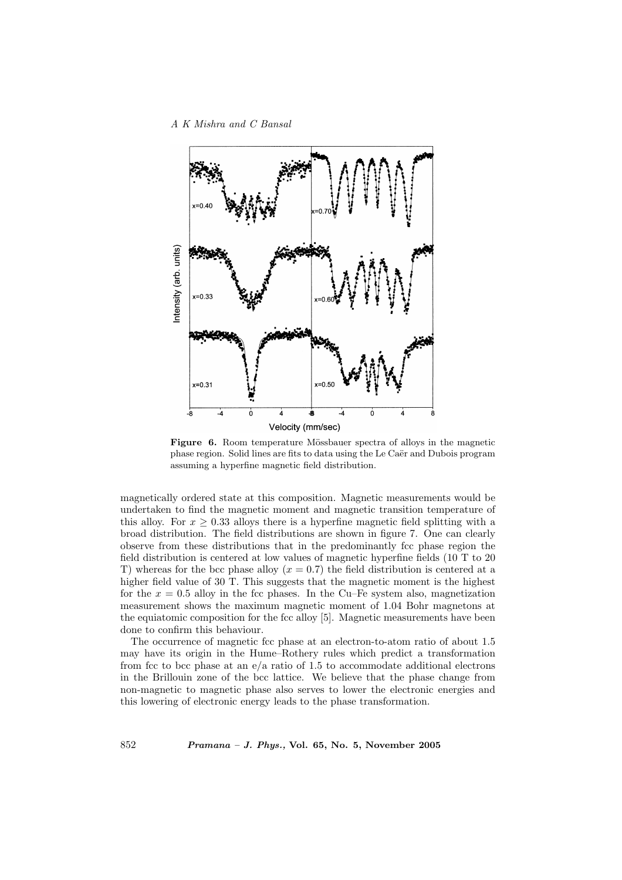

Figure 6. Room temperature Mössbauer spectra of alloys in the magnetic phase region. Solid lines are fits to data using the Le Caër and Dubois program assuming a hyperfine magnetic field distribution.

magnetically ordered state at this composition. Magnetic measurements would be undertaken to find the magnetic moment and magnetic transition temperature of this alloy. For  $x > 0.33$  alloys there is a hyperfine magnetic field splitting with a broad distribution. The field distributions are shown in figure 7. One can clearly observe from these distributions that in the predominantly fcc phase region the field distribution is centered at low values of magnetic hyperfine fields (10 T to 20 T) whereas for the bcc phase alloy  $(x = 0.7)$  the field distribution is centered at a higher field value of 30 T. This suggests that the magnetic moment is the highest for the  $x = 0.5$  alloy in the fcc phases. In the Cu–Fe system also, magnetization measurement shows the maximum magnetic moment of 1.04 Bohr magnetons at the equiatomic composition for the fcc alloy [5]. Magnetic measurements have been done to confirm this behaviour.

The occurrence of magnetic fcc phase at an electron-to-atom ratio of about 1.5 may have its origin in the Hume–Rothery rules which predict a transformation from fcc to bcc phase at an  $e/a$  ratio of 1.5 to accommodate additional electrons in the Brillouin zone of the bcc lattice. We believe that the phase change from non-magnetic to magnetic phase also serves to lower the electronic energies and this lowering of electronic energy leads to the phase transformation.

852 Pramana – J. Phys., Vol. 65, No. 5, November 2005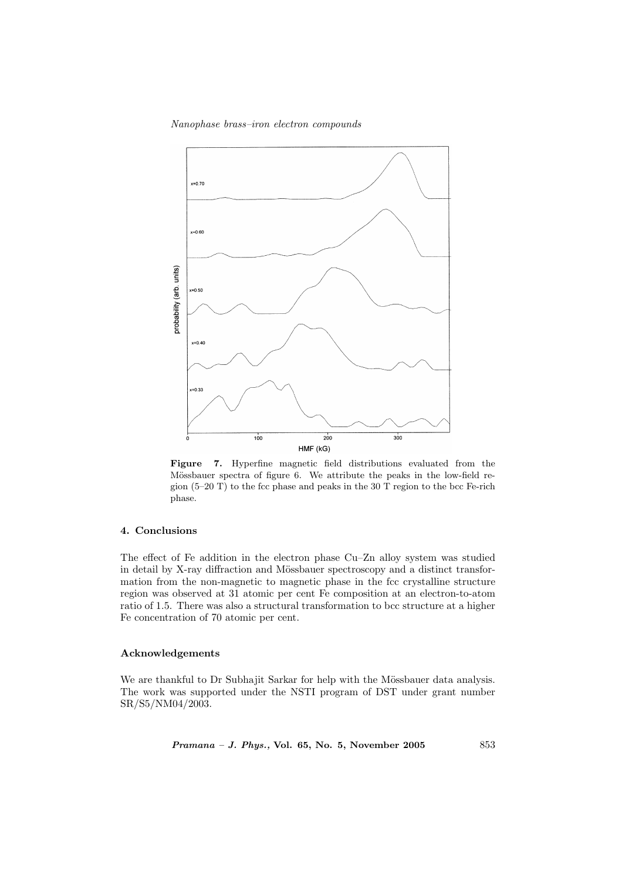## Nanophase brass–iron electron compounds



Figure 7. Hyperfine magnetic field distributions evaluated from the Mössbauer spectra of figure 6. We attribute the peaks in the low-field region  $(5-20)$  T to the fcc phase and peaks in the 30 T region to the bcc Fe-rich phase.

# 4. Conclusions

The effect of Fe addition in the electron phase Cu–Zn alloy system was studied in detail by X-ray diffraction and Mössbauer spectroscopy and a distinct transformation from the non-magnetic to magnetic phase in the fcc crystalline structure region was observed at 31 atomic per cent Fe composition at an electron-to-atom ratio of 1.5. There was also a structural transformation to bcc structure at a higher Fe concentration of 70 atomic per cent.

## Acknowledgements

We are thankful to Dr Subhajit Sarkar for help with the Mössbauer data analysis. The work was supported under the NSTI program of DST under grant number SR/S5/NM04/2003.

Pramana - J. Phys., Vol. 65, No. 5, November 2005 853